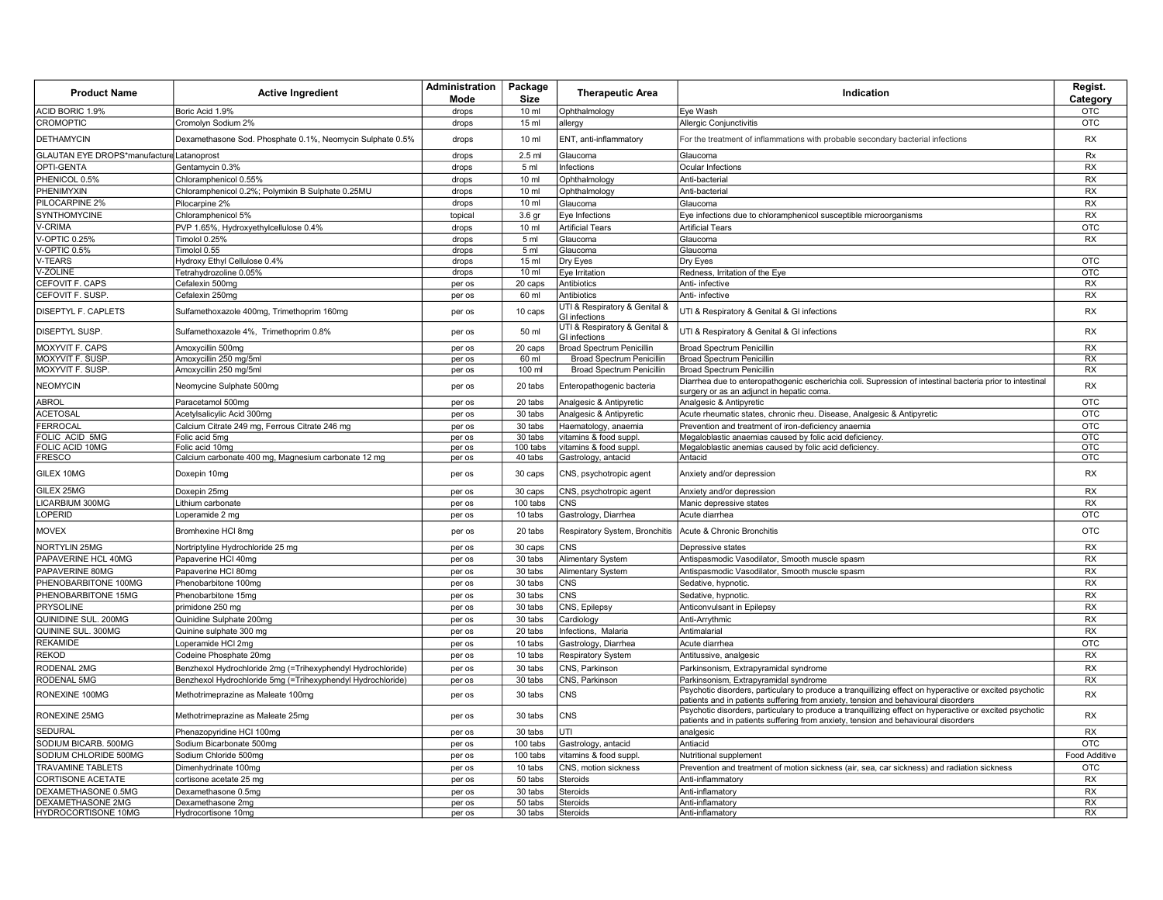| <b>Product Name</b>                       | <b>Active Ingredient</b>                                               | Administration<br>Mode | Package<br><b>Size</b> | <b>Therapeutic Area</b>                               | Indication                                                                                                                                                                                    | Regist.<br>Category |
|-------------------------------------------|------------------------------------------------------------------------|------------------------|------------------------|-------------------------------------------------------|-----------------------------------------------------------------------------------------------------------------------------------------------------------------------------------------------|---------------------|
| ACID BORIC 1.9%                           | Boric Acid 1.9%                                                        | drops                  | $10 \mathrm{m}$        | Ophthalmology                                         | Eye Wash                                                                                                                                                                                      | OTC                 |
| <b>CROMOPTIC</b>                          | Cromolyn Sodium 2%                                                     | drops                  | 15 ml                  | allergy                                               | Allergic Conjunctivitis                                                                                                                                                                       | <b>OTC</b>          |
| <b>DETHAMYCIN</b>                         | Dexamethasone Sod. Phosphate 0.1%, Neomycin Sulphate 0.5%              | drops                  | 10 <sub>m</sub>        | ENT, anti-inflammatory                                | For the treatment of inflammations with probable secondary bacterial infections                                                                                                               | <b>RX</b>           |
| GLAUTAN EYE DROPS*manufacture Latanoprost |                                                                        | drops                  | 2.5 ml                 | Glaucoma                                              | Glaucoma                                                                                                                                                                                      | <b>Rx</b>           |
| OPTI-GENTA                                | Gentamycin 0.3%                                                        | drops                  | 5 <sub>m</sub>         | Infections                                            | Ocular Infections                                                                                                                                                                             | <b>RX</b>           |
| PHENICOL 0.5%                             | Chloramphenicol 0.55%                                                  | drops                  | 10 ml                  | Ophthalmology                                         | Anti-bacterial                                                                                                                                                                                | <b>RX</b>           |
| PHENIMYXIN                                | Chloramphenicol 0.2%; Polymixin B Sulphate 0.25MU                      | drops                  | 10 ml                  | Ophthalmolog                                          | Anti-bacterial                                                                                                                                                                                | <b>RX</b>           |
| PILOCARPINE 2%                            | Pilocarpine 2%                                                         | drops                  | 10 ml                  | Glaucoma                                              | Glaucoma                                                                                                                                                                                      | <b>RX</b>           |
| SYNTHOMYCINE                              | Chloramphenicol 5%                                                     | topica                 | 3.6 gr                 | Eye Infections                                        | Eye infections due to chloramphenicol susceptible microorganisms                                                                                                                              | <b>RX</b>           |
| /-CRIMA                                   | PVP 1.65%, Hydroxyethylcellulose 0.4%                                  | drops                  | 10 <sub>m</sub>        | <b>Artificial Tears</b>                               | <b>Artificial Tears</b>                                                                                                                                                                       | <b>OTC</b>          |
| /-OPTIC 0.25%                             | Timolol 0.25%                                                          | drops                  | 5 <sub>m</sub>         | Glaucoma                                              | Glaucoma                                                                                                                                                                                      | RX                  |
| /-OPTIC 0.5%                              | Timolol 0.55                                                           | drops                  | 5 <sub>ml</sub>        | Glaucoma                                              | Glaucoma                                                                                                                                                                                      |                     |
| /-TEARS                                   | Hydroxy Ethyl Cellulose 0.4%                                           | drops                  | 15 ml                  | Dry Eyes                                              | Dry Eyes                                                                                                                                                                                      | <b>OTC</b>          |
| V-ZOLINE                                  | Tetrahydrozoline 0.05%                                                 | drops                  | 10 ml                  | Eye Irritation                                        | Redness, Irritation of the Eye                                                                                                                                                                | OTC                 |
| CEFOVIT F. CAPS                           | Cefalexin 500mg                                                        | per os                 | 20 caps                | Antibiotics                                           | Anti- infective                                                                                                                                                                               | RX                  |
| CEFOVIT F. SUSP.                          | Cefalexin 250mg                                                        | per os                 | 60 ml                  | Antibiotics                                           | Anti- infective                                                                                                                                                                               | <b>RX</b>           |
| DISEPTYL F. CAPLETS                       | Sulfamethoxazole 400mg, Trimethoprim 160mg                             | per os                 | 10 caps                | UTI & Respiratory & Genital 8<br><b>GI</b> infections | UTI & Respiratory & Genital & GI infections                                                                                                                                                   | RX                  |
| DISEPTYL SUSP.                            | Sulfamethoxazole 4%, Trimethoprim 0.8%                                 | per os                 | 50 ml                  | UTI & Respiratory & Genital &<br>GI infections        | UTI & Respiratory & Genital & GI infections                                                                                                                                                   | RX                  |
| MOXYVIT F. CAPS                           | Amoxycillin 500mg                                                      | per os                 | 20 caps                | <b>Broad Spectrum Penicillin</b>                      | <b>Broad Spectrum Penicillin</b>                                                                                                                                                              | <b>RX</b>           |
| MOXYVIT F. SUSP                           | Amoxycillin 250 mg/5ml                                                 | per os                 | 60 ml                  | <b>Broad Spectrum Penicillin</b>                      | Broad Spectrum Penicillin                                                                                                                                                                     | <b>RX</b>           |
| MOXYVIT F. SUSP                           | Amoxycillin 250 mg/5ml                                                 | per os                 | 100 ml                 | <b>Broad Spectrum Penicillin</b>                      | <b>Broad Spectrum Penicillin</b>                                                                                                                                                              | <b>RX</b>           |
| <b>NEOMYCIN</b>                           | Neomycine Sulphate 500mg                                               | per os                 | 20 tabs                | Enteropathogenic bacteria                             | Diarrhea due to enteropathogenic escherichia coli. Supression of intestinal bacteria prior to intestinal<br>surgery or as an adjunct in hepatic coma.                                         | RX                  |
| <b>ABROL</b>                              | Paracetamol 500mg                                                      | per os                 | 20 tabs                | Analgesic & Antipyretic                               | Analgesic & Antipyretic                                                                                                                                                                       | OTC                 |
| ACETOSAL                                  | Acetylsalicylic Acid 300mg                                             | per os                 | 30 tabs                | Analgesic & Antipyretic                               | Acute rheumatic states, chronic rheu. Disease, Analgesic & Antipyretic                                                                                                                        | <b>OTC</b>          |
| <b>ERROCAL</b>                            | Calcium Citrate 249 mg, Ferrous Citrate 246 mg                         | per os                 | 30 tabs                | Haematology, anaemia                                  | Prevention and treatment of iron-deficiency anaemia                                                                                                                                           | <b>OTC</b>          |
| FOLIC ACID 5MG                            | Folic acid 5mg                                                         | per os                 | 30 tabs                | vitamins & food suppl                                 | Megaloblastic anaemias caused by folic acid deficiency.                                                                                                                                       | <b>OTC</b>          |
| FOLIC ACID 10MG                           | Folic acid 10mg<br>Calcium carbonate 400 mg, Magnesium carbonate 12 mg | per os                 | 100 tabs<br>40 tabs    | vitamins & food suppl                                 | Megaloblastic anemias caused by folic acid deficiency.<br>Antacid                                                                                                                             | <b>OTC</b><br>OTC   |
| <b>FRESCO</b><br>GILEX 10MG               | Doxepin 10mg                                                           | per os<br>per os       | 30 caps                | Gastrology, antacid<br>CNS, psychotropic agent        | Anxiety and/or depression                                                                                                                                                                     | RX                  |
| GILEX 25MG                                | Doxepin 25mg                                                           | per os                 | 30 caps                | CNS, psychotropic agent                               | Anxiety and/or depression                                                                                                                                                                     | RX                  |
| <b>ICARBIUM 300MG</b>                     | ithium carbonate                                                       | per os                 | 100 tabs               | CNS                                                   | Manic depressive states                                                                                                                                                                       | <b>RX</b>           |
| LOPERID                                   | Loperamide 2 mg                                                        | per os                 | 10 tabs                | Gastrology, Diarrhea                                  | Acute diarrhea                                                                                                                                                                                | <b>OTC</b>          |
| <b>MOVEX</b>                              | Bromhexine HCl 8mg                                                     | per os                 | 20 tabs                | Respiratory System, Bronchitis                        | Acute & Chronic Bronchitis                                                                                                                                                                    | <b>OTC</b>          |
| NORTYLIN 25MG                             | Nortriptyline Hydrochloride 25 mg                                      | per os                 | 30 caps                | CNS                                                   | Depressive states                                                                                                                                                                             | <b>RX</b>           |
| PAPAVERINE HCL 40MG                       | Papaverine HCI 40mg                                                    | per os                 | 30 tabs                | <b>Alimentary System</b>                              | Antispasmodic Vasodilator, Smooth muscle spasm                                                                                                                                                | <b>RX</b>           |
| PAPAVERINE 80MG                           | Papaverine HCI 80mg                                                    | per os                 | 30 tabs                | Alimentary System                                     | Antispasmodic Vasodilator, Smooth muscle spasm                                                                                                                                                | <b>RX</b>           |
| PHENOBARBITONE 100MG                      | Phenobarbitone 100mg                                                   | per os                 | 30 tabs                | <b>CNS</b>                                            | Sedative, hypnotic.                                                                                                                                                                           | <b>RX</b>           |
| PHENOBARBITONE 15MG                       | Phenobarbitone 15mg                                                    | per os                 | 30 tabs                | <b>CNS</b>                                            | Sedative, hypnotic                                                                                                                                                                            | <b>RX</b>           |
| <b>PRYSOLINE</b>                          | primidone 250 mg                                                       | per os                 | 30 tabs                | CNS, Epilepsy                                         | Anticonvulsant in Epilepsy                                                                                                                                                                    | <b>RX</b>           |
| QUINIDINE SUL. 200MG                      | Quinidine Sulphate 200mg                                               | per os                 | 30 tabs                | Cardiology                                            | Anti-Arrythmic                                                                                                                                                                                | <b>RX</b>           |
| QUININE SUL. 300MG                        | Quinine sulphate 300 mg                                                | per os                 | 20 tabs                | Infections, Malaria                                   | Antimalaria                                                                                                                                                                                   | <b>RX</b>           |
| <b>REKAMIDE</b>                           | Loperamide HCl 2mg                                                     | per os                 | 10 tabs                | Gastrology, Diarrhea                                  | Acute diarrhea                                                                                                                                                                                | <b>OTC</b>          |
| REKOD                                     | Codeine Phosphate 20mg                                                 | per os                 | 10 tabs                | <b>Respiratory System</b>                             | Antitussive, analgesic                                                                                                                                                                        | <b>RX</b>           |
| RODENAL 2MG                               | Benzhexol Hydrochloride 2mg (=Trihexyphendyl Hydrochloride)            | per os                 | 30 tabs                | CNS, Parkinson                                        | Parkinsonism, Extrapyramidal syndrome                                                                                                                                                         | <b>RX</b>           |
| <b>RODENAL 5MG</b>                        | Benzhexol Hydrochloride 5mg (=Trihexyphendyl Hydrochloride)            | per os                 | 30 tabs                | CNS, Parkinson                                        | Parkinsonism, Extrapyramidal syndrome                                                                                                                                                         | RX                  |
| RONEXINE 100MG                            | Methotrimeprazine as Maleate 100mg                                     | per os                 | 30 tabs                | <b>CNS</b>                                            | Psychotic disorders, particulary to produce a tranquillizing effect on hyperactive or excited psychotic<br>patients and in patients suffering from anxiety, tension and behavioural disorders | RX                  |
| RONEXINE 25MG                             | Methotrimeprazine as Maleate 25mg                                      | per os                 | 30 tabs                | <b>CNS</b>                                            | Psychotic disorders, particulary to produce a tranquillizing effect on hyperactive or excited psychotic<br>patients and in patients suffering from anxiety, tension and behavioural disorders | <b>RX</b>           |
| SEDURAL                                   | Phenazopyridine HCI 100mg                                              | per os                 | 30 tabs                | UTI                                                   | analgesic                                                                                                                                                                                     | <b>RX</b>           |
| SODIUM BICARB, 500MG                      | Sodium Bicarbonate 500mg                                               | per os                 | 100 tabs               | Gastrology, antacid                                   | Antiacid                                                                                                                                                                                      | <b>OTC</b>          |
| SODIUM CHLORIDE 500MG                     | Sodium Chloride 500mg                                                  | per os                 | 100 tabs               | vitamins & food suppl.                                | Nutritional supplement                                                                                                                                                                        | Food Additive       |
| <b>TRAVAMINE TABLETS</b>                  | Dimenhydrinate 100mg                                                   | per os                 | 10 tabs                | CNS, motion sickness                                  | Prevention and treatment of motion sickness (air, sea, car sickness) and radiation sickness                                                                                                   | <b>OTC</b>          |
| CORTISONE ACETATE                         | cortisone acetate 25 mg                                                | per os                 | 50 tabs                | Steroids                                              | Anti-inflammatory                                                                                                                                                                             | <b>RX</b>           |
| DEXAMETHASONE 0.5MG                       | Dexamethasone 0.5mg                                                    | per os                 | 30 tabs                | Steroids                                              | Anti-inflamatory                                                                                                                                                                              | <b>RX</b>           |
| DEXAMETHASONE 2MG                         | Dexamethasone 2mg                                                      | per os                 | 50 tabs                | Steroids                                              | Anti-inflamatory                                                                                                                                                                              | <b>RX</b>           |
| <b>HYDROCORTISONE 10MG</b>                | Hydrocortisone 10mg                                                    | per os                 | 30 tabs                | Steroids                                              | Anti-inflamatory                                                                                                                                                                              | <b>RX</b>           |